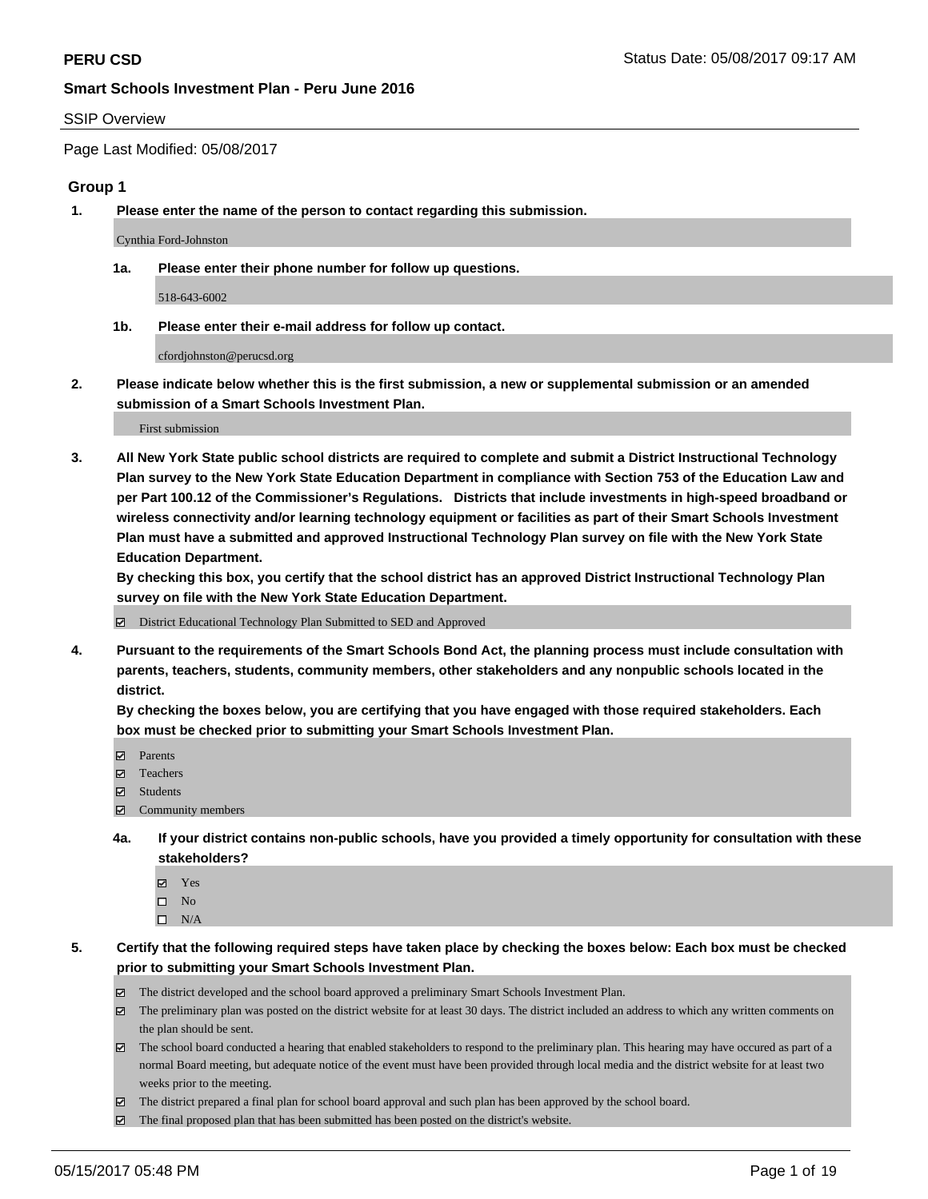#### SSIP Overview

Page Last Modified: 05/08/2017

#### **Group 1**

**1. Please enter the name of the person to contact regarding this submission.**

Cynthia Ford-Johnston

**1a. Please enter their phone number for follow up questions.**

518-643-6002

**1b. Please enter their e-mail address for follow up contact.**

cfordjohnston@perucsd.org

**2. Please indicate below whether this is the first submission, a new or supplemental submission or an amended submission of a Smart Schools Investment Plan.**

First submission

**3. All New York State public school districts are required to complete and submit a District Instructional Technology Plan survey to the New York State Education Department in compliance with Section 753 of the Education Law and per Part 100.12 of the Commissioner's Regulations. Districts that include investments in high-speed broadband or wireless connectivity and/or learning technology equipment or facilities as part of their Smart Schools Investment Plan must have a submitted and approved Instructional Technology Plan survey on file with the New York State Education Department.** 

**By checking this box, you certify that the school district has an approved District Instructional Technology Plan survey on file with the New York State Education Department.**

District Educational Technology Plan Submitted to SED and Approved

**4. Pursuant to the requirements of the Smart Schools Bond Act, the planning process must include consultation with parents, teachers, students, community members, other stakeholders and any nonpublic schools located in the district.** 

**By checking the boxes below, you are certifying that you have engaged with those required stakeholders. Each box must be checked prior to submitting your Smart Schools Investment Plan.**

- **マ** Parents
- □ Teachers
- Students
- $\Xi$  Community members
- **4a. If your district contains non-public schools, have you provided a timely opportunity for consultation with these stakeholders?**
	- Yes
	- $\hfill \square$  No
	- $\square$  N/A
- **5. Certify that the following required steps have taken place by checking the boxes below: Each box must be checked prior to submitting your Smart Schools Investment Plan.**
	- The district developed and the school board approved a preliminary Smart Schools Investment Plan.
	- $\boxtimes$  The preliminary plan was posted on the district website for at least 30 days. The district included an address to which any written comments on the plan should be sent.
	- $\boxtimes$  The school board conducted a hearing that enabled stakeholders to respond to the preliminary plan. This hearing may have occured as part of a normal Board meeting, but adequate notice of the event must have been provided through local media and the district website for at least two weeks prior to the meeting.
	- The district prepared a final plan for school board approval and such plan has been approved by the school board.
	- $\boxtimes$  The final proposed plan that has been submitted has been posted on the district's website.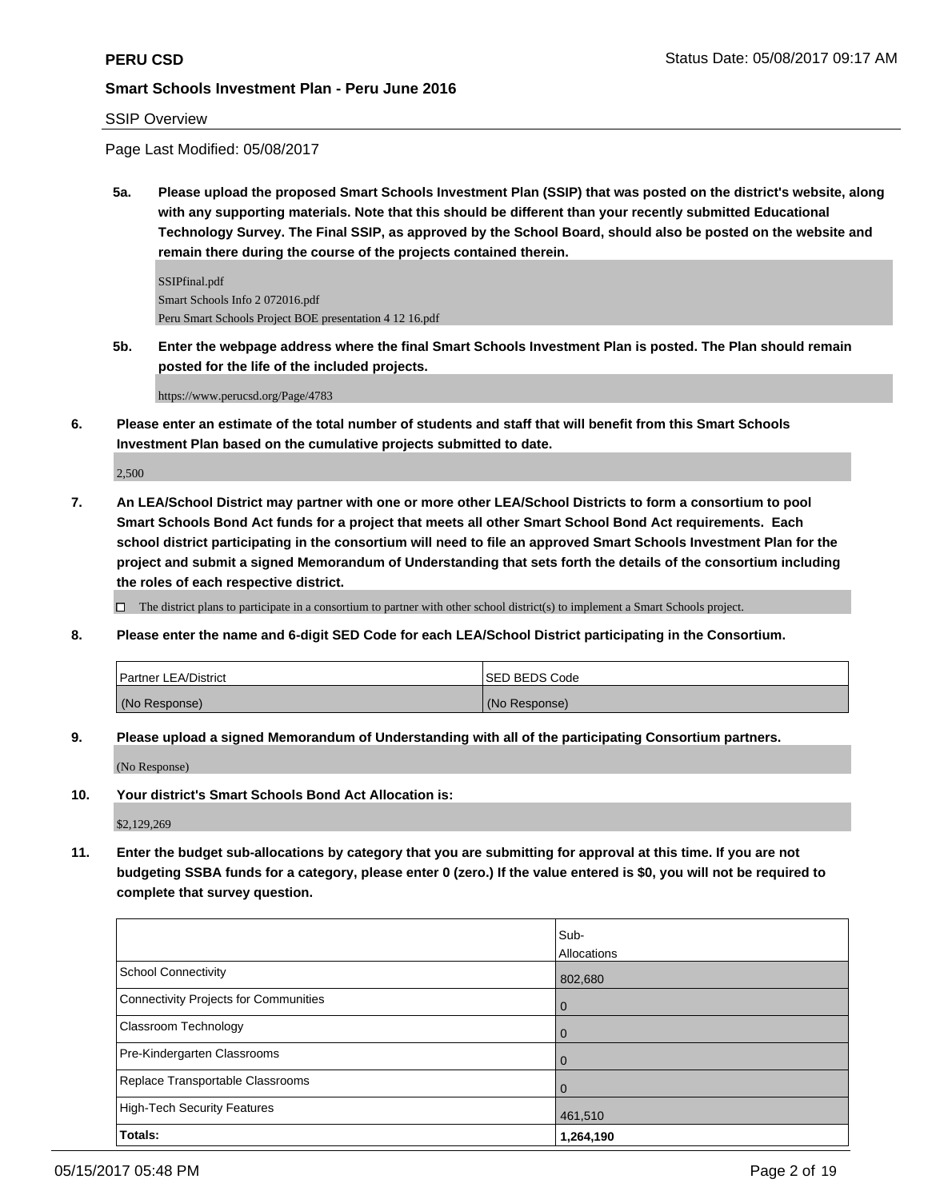## SSIP Overview

Page Last Modified: 05/08/2017

**5a. Please upload the proposed Smart Schools Investment Plan (SSIP) that was posted on the district's website, along with any supporting materials. Note that this should be different than your recently submitted Educational Technology Survey. The Final SSIP, as approved by the School Board, should also be posted on the website and remain there during the course of the projects contained therein.**

SSIPfinal.pdf Smart Schools Info 2 072016.pdf Peru Smart Schools Project BOE presentation 4 12 16.pdf

**5b. Enter the webpage address where the final Smart Schools Investment Plan is posted. The Plan should remain posted for the life of the included projects.**

https://www.perucsd.org/Page/4783

**6. Please enter an estimate of the total number of students and staff that will benefit from this Smart Schools Investment Plan based on the cumulative projects submitted to date.**

2,500

**7. An LEA/School District may partner with one or more other LEA/School Districts to form a consortium to pool Smart Schools Bond Act funds for a project that meets all other Smart School Bond Act requirements. Each school district participating in the consortium will need to file an approved Smart Schools Investment Plan for the project and submit a signed Memorandum of Understanding that sets forth the details of the consortium including the roles of each respective district.**

 $\Box$  The district plans to participate in a consortium to partner with other school district(s) to implement a Smart Schools project.

**8. Please enter the name and 6-digit SED Code for each LEA/School District participating in the Consortium.**

| <b>Partner LEA/District</b> | ISED BEDS Code |
|-----------------------------|----------------|
| (No Response)               | (No Response)  |

**9. Please upload a signed Memorandum of Understanding with all of the participating Consortium partners.**

(No Response)

**10. Your district's Smart Schools Bond Act Allocation is:**

\$2,129,269

**11. Enter the budget sub-allocations by category that you are submitting for approval at this time. If you are not budgeting SSBA funds for a category, please enter 0 (zero.) If the value entered is \$0, you will not be required to complete that survey question.**

|                                       | Sub-        |
|---------------------------------------|-------------|
|                                       | Allocations |
| <b>School Connectivity</b>            | 802,680     |
| Connectivity Projects for Communities | 0           |
| <b>Classroom Technology</b>           |             |
| Pre-Kindergarten Classrooms           |             |
| Replace Transportable Classrooms      |             |
| <b>High-Tech Security Features</b>    | 461,510     |
| Totals:                               | 1,264,190   |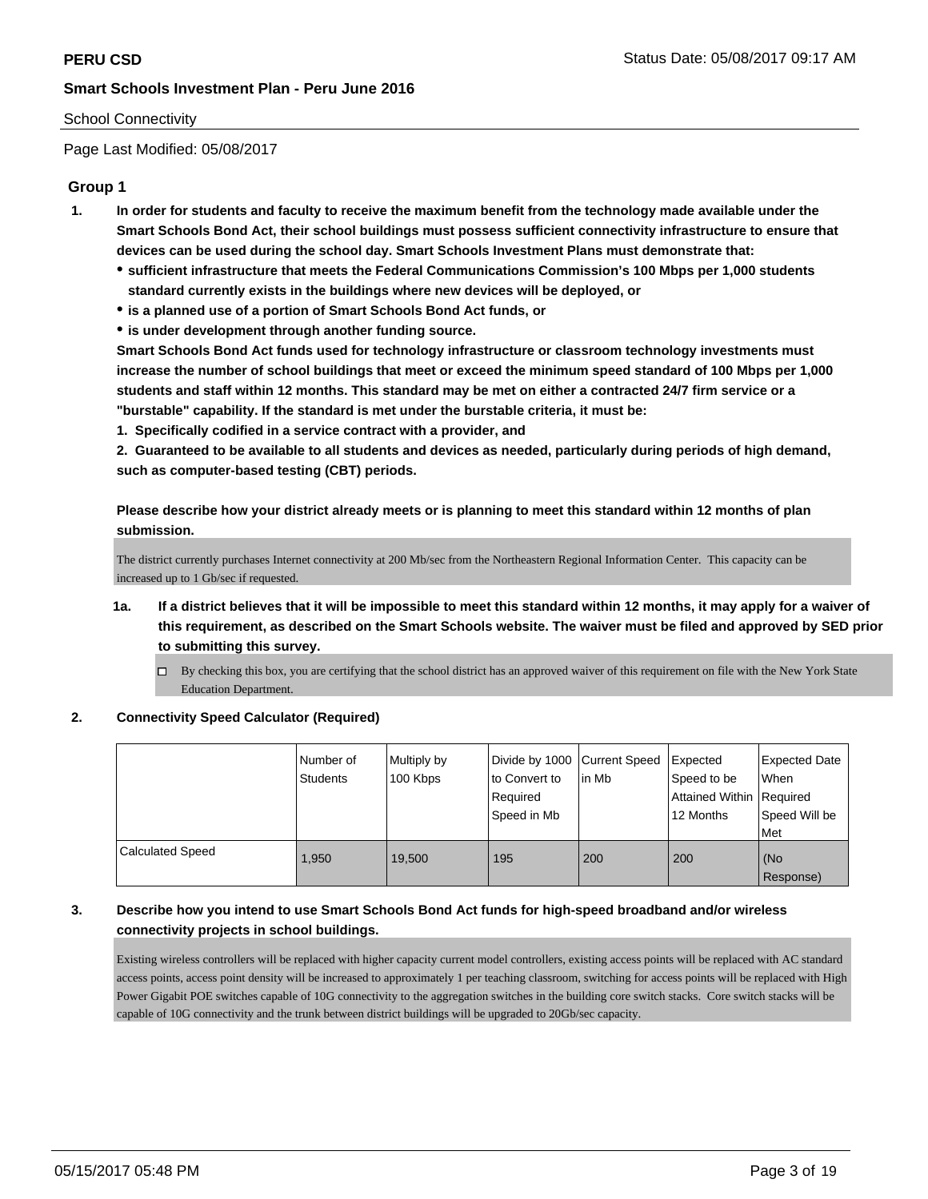## School Connectivity

Page Last Modified: 05/08/2017

## **Group 1**

- **1. In order for students and faculty to receive the maximum benefit from the technology made available under the Smart Schools Bond Act, their school buildings must possess sufficient connectivity infrastructure to ensure that devices can be used during the school day. Smart Schools Investment Plans must demonstrate that:**
	- **sufficient infrastructure that meets the Federal Communications Commission's 100 Mbps per 1,000 students standard currently exists in the buildings where new devices will be deployed, or**
	- **is a planned use of a portion of Smart Schools Bond Act funds, or**
	- **is under development through another funding source.**

**Smart Schools Bond Act funds used for technology infrastructure or classroom technology investments must increase the number of school buildings that meet or exceed the minimum speed standard of 100 Mbps per 1,000 students and staff within 12 months. This standard may be met on either a contracted 24/7 firm service or a "burstable" capability. If the standard is met under the burstable criteria, it must be:**

**1. Specifically codified in a service contract with a provider, and**

**2. Guaranteed to be available to all students and devices as needed, particularly during periods of high demand, such as computer-based testing (CBT) periods.**

**Please describe how your district already meets or is planning to meet this standard within 12 months of plan submission.**

The district currently purchases Internet connectivity at 200 Mb/sec from the Northeastern Regional Information Center. This capacity can be increased up to 1 Gb/sec if requested.

- **1a. If a district believes that it will be impossible to meet this standard within 12 months, it may apply for a waiver of this requirement, as described on the Smart Schools website. The waiver must be filed and approved by SED prior to submitting this survey.**
	- By checking this box, you are certifying that the school district has an approved waiver of this requirement on file with the New York State Education Department.

#### **2. Connectivity Speed Calculator (Required)**

|                         | Number of<br><b>Students</b> | Multiply by<br>100 Kbps | Divide by 1000 Current Speed<br>to Convert to<br>Required<br>Speed in Mb | lin Mb | Expected<br>Speed to be<br>Attained Within Required<br>12 Months | <b>Expected Date</b><br>When<br>Speed Will be<br>Met |
|-------------------------|------------------------------|-------------------------|--------------------------------------------------------------------------|--------|------------------------------------------------------------------|------------------------------------------------------|
| <b>Calculated Speed</b> | 1.950                        | 19.500                  | 195                                                                      | 200    | 200                                                              | (No<br>Response)                                     |

## **3. Describe how you intend to use Smart Schools Bond Act funds for high-speed broadband and/or wireless connectivity projects in school buildings.**

Existing wireless controllers will be replaced with higher capacity current model controllers, existing access points will be replaced with AC standard access points, access point density will be increased to approximately 1 per teaching classroom, switching for access points will be replaced with High Power Gigabit POE switches capable of 10G connectivity to the aggregation switches in the building core switch stacks. Core switch stacks will be capable of 10G connectivity and the trunk between district buildings will be upgraded to 20Gb/sec capacity.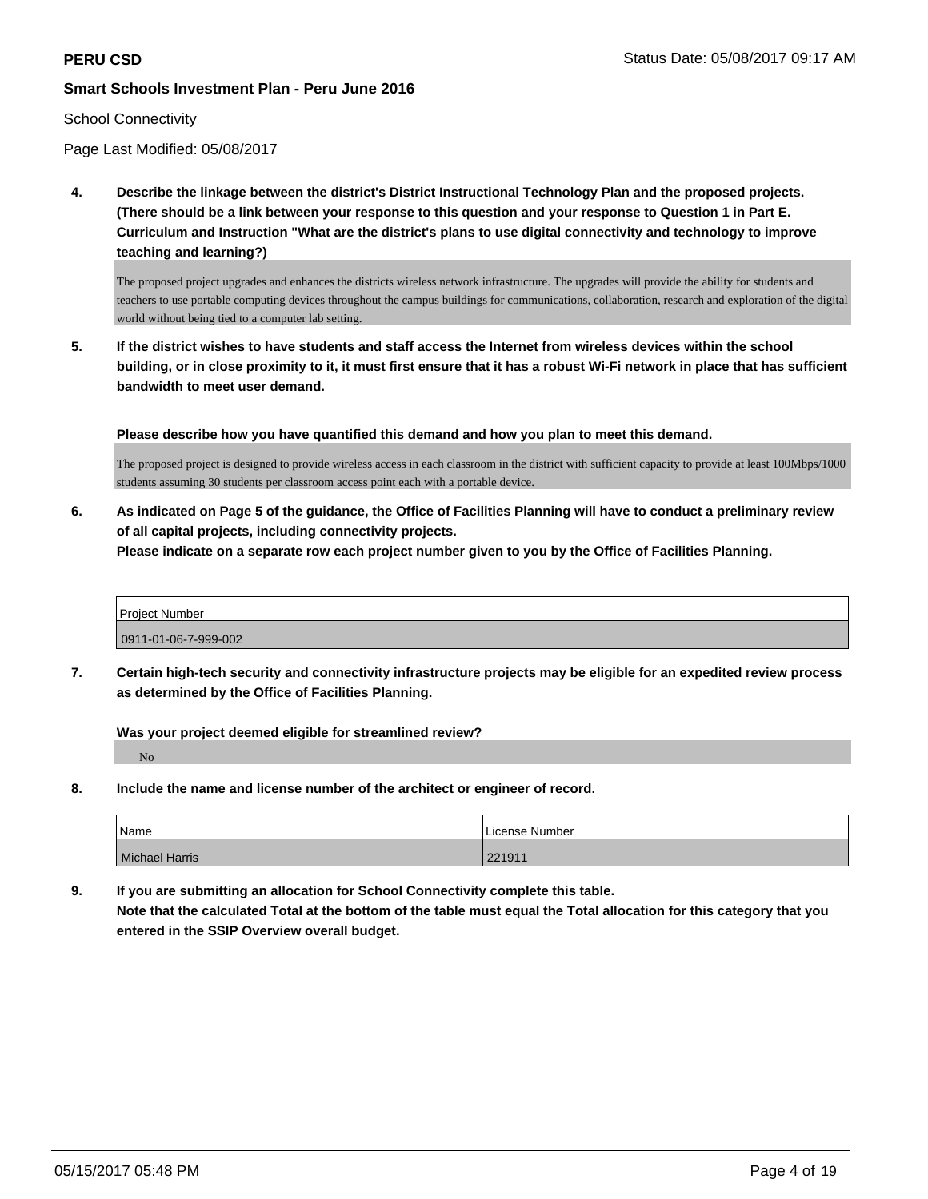#### School Connectivity

Page Last Modified: 05/08/2017

**4. Describe the linkage between the district's District Instructional Technology Plan and the proposed projects. (There should be a link between your response to this question and your response to Question 1 in Part E. Curriculum and Instruction "What are the district's plans to use digital connectivity and technology to improve teaching and learning?)**

The proposed project upgrades and enhances the districts wireless network infrastructure. The upgrades will provide the ability for students and teachers to use portable computing devices throughout the campus buildings for communications, collaboration, research and exploration of the digital world without being tied to a computer lab setting.

**5. If the district wishes to have students and staff access the Internet from wireless devices within the school building, or in close proximity to it, it must first ensure that it has a robust Wi-Fi network in place that has sufficient bandwidth to meet user demand.**

**Please describe how you have quantified this demand and how you plan to meet this demand.**

The proposed project is designed to provide wireless access in each classroom in the district with sufficient capacity to provide at least 100Mbps/1000 students assuming 30 students per classroom access point each with a portable device.

**6. As indicated on Page 5 of the guidance, the Office of Facilities Planning will have to conduct a preliminary review of all capital projects, including connectivity projects.**

**Please indicate on a separate row each project number given to you by the Office of Facilities Planning.**

| <b>Project Number</b> |  |
|-----------------------|--|
| 0911-01-06-7-999-002  |  |

**7. Certain high-tech security and connectivity infrastructure projects may be eligible for an expedited review process as determined by the Office of Facilities Planning.**

**Was your project deemed eligible for streamlined review?**

No

**8. Include the name and license number of the architect or engineer of record.**

| Name                  | License Number |
|-----------------------|----------------|
| <b>Michael Harris</b> | 221911         |

**9. If you are submitting an allocation for School Connectivity complete this table. Note that the calculated Total at the bottom of the table must equal the Total allocation for this category that you entered in the SSIP Overview overall budget.**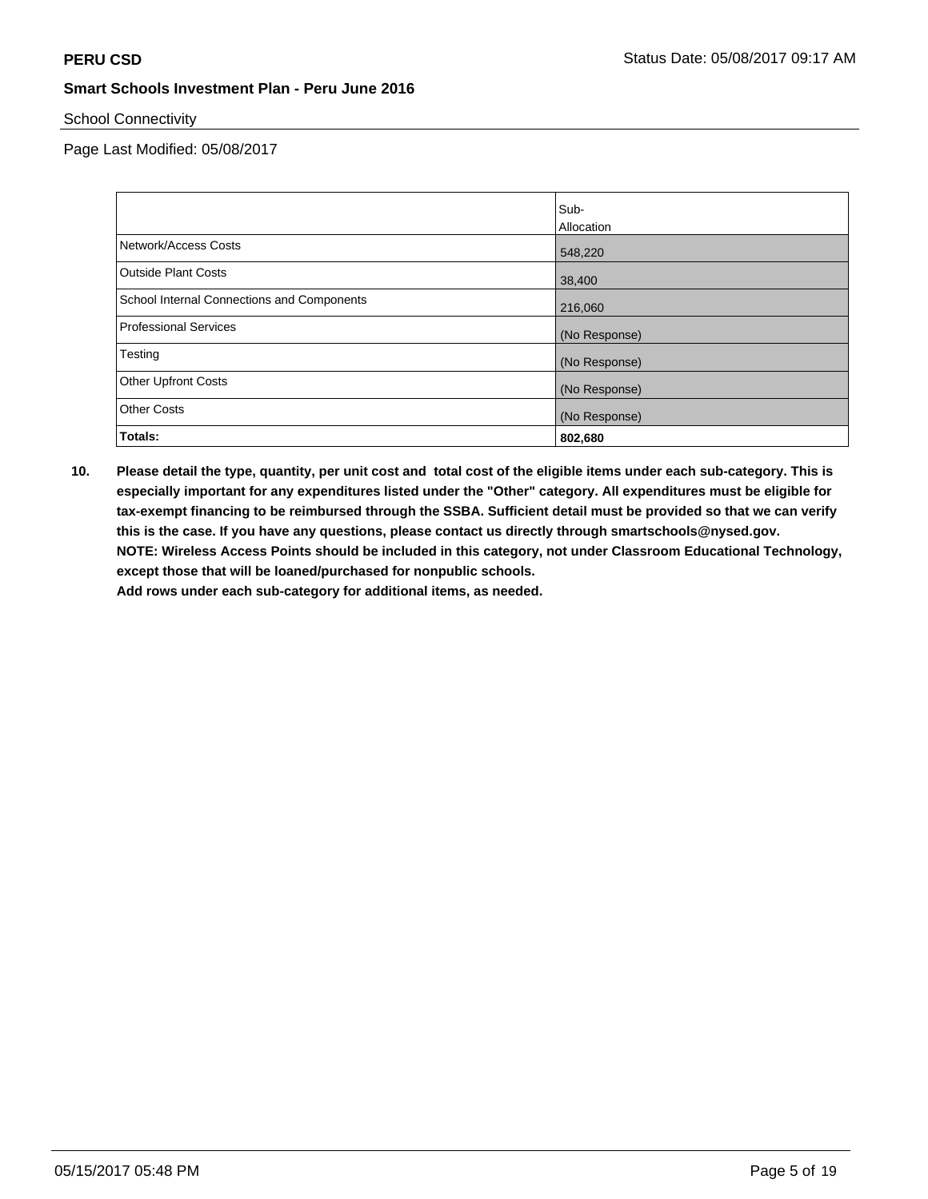School Connectivity

Page Last Modified: 05/08/2017

|                                            | Sub-          |
|--------------------------------------------|---------------|
|                                            | Allocation    |
| Network/Access Costs                       | 548,220       |
| <b>Outside Plant Costs</b>                 | 38,400        |
| School Internal Connections and Components | 216,060       |
| <b>Professional Services</b>               | (No Response) |
| Testing                                    | (No Response) |
| <b>Other Upfront Costs</b>                 | (No Response) |
| <b>Other Costs</b>                         | (No Response) |
| Totals:                                    | 802,680       |

**10. Please detail the type, quantity, per unit cost and total cost of the eligible items under each sub-category. This is especially important for any expenditures listed under the "Other" category. All expenditures must be eligible for tax-exempt financing to be reimbursed through the SSBA. Sufficient detail must be provided so that we can verify this is the case. If you have any questions, please contact us directly through smartschools@nysed.gov. NOTE: Wireless Access Points should be included in this category, not under Classroom Educational Technology, except those that will be loaned/purchased for nonpublic schools.**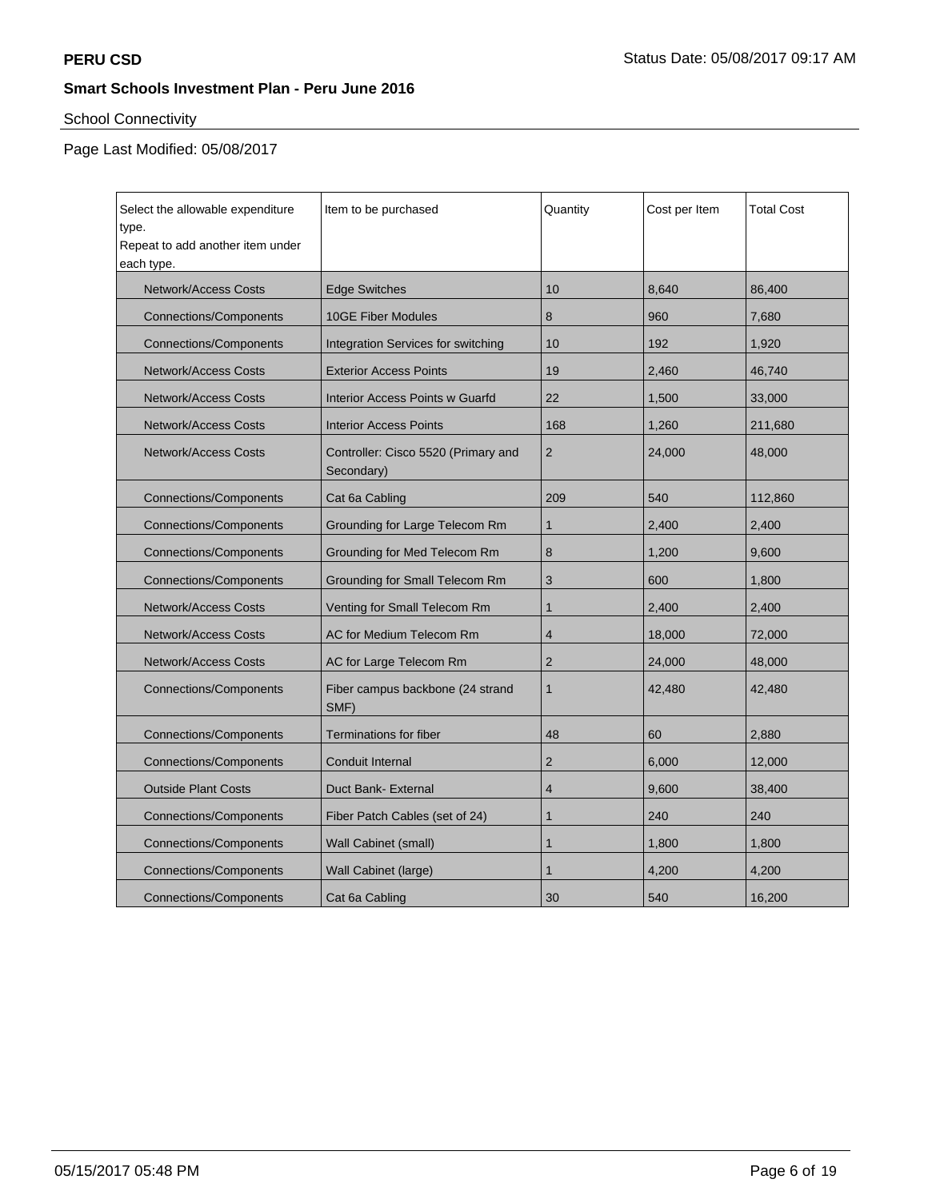# School Connectivity

| Select the allowable expenditure<br>type.<br>Repeat to add another item under<br>each type. | Item to be purchased                              | Quantity       | Cost per Item | <b>Total Cost</b> |
|---------------------------------------------------------------------------------------------|---------------------------------------------------|----------------|---------------|-------------------|
| <b>Network/Access Costs</b>                                                                 | <b>Edge Switches</b>                              | 10             | 8,640         | 86,400            |
| <b>Connections/Components</b>                                                               | <b>10GE Fiber Modules</b>                         | 8              | 960           | 7,680             |
| <b>Connections/Components</b>                                                               | Integration Services for switching                | 10             | 192           | 1,920             |
| Network/Access Costs                                                                        | <b>Exterior Access Points</b>                     | 19             | 2,460         | 46,740            |
| <b>Network/Access Costs</b>                                                                 | <b>Interior Access Points w Guarfd</b>            | 22             | 1,500         | 33,000            |
| <b>Network/Access Costs</b>                                                                 | <b>Interior Access Points</b>                     | 168            | 1,260         | 211,680           |
| <b>Network/Access Costs</b>                                                                 | Controller: Cisco 5520 (Primary and<br>Secondary) | 2              | 24,000        | 48,000            |
| <b>Connections/Components</b>                                                               | Cat 6a Cabling                                    | 209            | 540           | 112,860           |
| <b>Connections/Components</b>                                                               | Grounding for Large Telecom Rm                    |                | 2,400         | 2,400             |
| <b>Connections/Components</b>                                                               | Grounding for Med Telecom Rm                      | 8              | 1,200         | 9,600             |
| <b>Connections/Components</b>                                                               | Grounding for Small Telecom Rm                    | 3              | 600           | 1,800             |
| <b>Network/Access Costs</b>                                                                 | Venting for Small Telecom Rm                      | $\mathbf 1$    | 2,400         | 2,400             |
| <b>Network/Access Costs</b>                                                                 | AC for Medium Telecom Rm                          | $\overline{4}$ | 18,000        | 72,000            |
| <b>Network/Access Costs</b>                                                                 | AC for Large Telecom Rm                           | $\overline{2}$ | 24,000        | 48,000            |
| Fiber campus backbone (24 strand<br><b>Connections/Components</b><br>SMF)                   |                                                   | $\mathbf{1}$   | 42,480        | 42,480            |
| <b>Connections/Components</b>                                                               | Terminations for fiber                            | 48             | 60            | 2,880             |
| <b>Connections/Components</b>                                                               | Conduit Internal                                  | $\overline{2}$ | 6,000         | 12,000            |
| <b>Outside Plant Costs</b>                                                                  | Duct Bank- External                               | $\overline{4}$ | 9,600         | 38,400            |
| <b>Connections/Components</b>                                                               | Fiber Patch Cables (set of 24)                    | 1              | 240           | 240               |
| <b>Connections/Components</b>                                                               | Wall Cabinet (small)                              | 1              | 1,800         | 1,800             |
| <b>Connections/Components</b>                                                               | Wall Cabinet (large)                              | 1              | 4,200         | 4,200             |
| <b>Connections/Components</b>                                                               | Cat 6a Cabling                                    | 30             | 540           | 16,200            |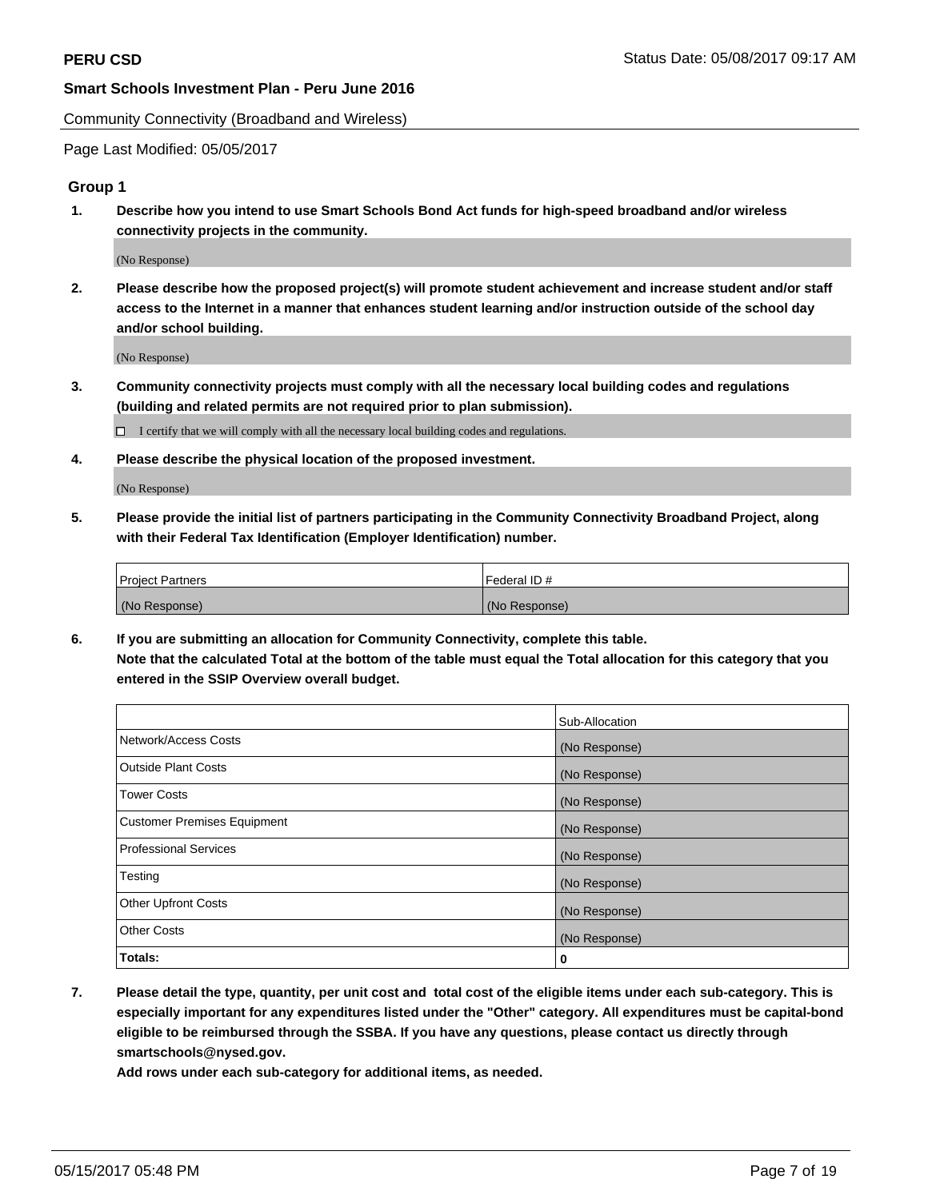Community Connectivity (Broadband and Wireless)

Page Last Modified: 05/05/2017

## **Group 1**

**1. Describe how you intend to use Smart Schools Bond Act funds for high-speed broadband and/or wireless connectivity projects in the community.**

(No Response)

**2. Please describe how the proposed project(s) will promote student achievement and increase student and/or staff access to the Internet in a manner that enhances student learning and/or instruction outside of the school day and/or school building.**

(No Response)

**3. Community connectivity projects must comply with all the necessary local building codes and regulations (building and related permits are not required prior to plan submission).**

 $\Box$  I certify that we will comply with all the necessary local building codes and regulations.

**4. Please describe the physical location of the proposed investment.**

(No Response)

**5. Please provide the initial list of partners participating in the Community Connectivity Broadband Project, along with their Federal Tax Identification (Employer Identification) number.**

| <b>Project Partners</b> | l Federal ID # |
|-------------------------|----------------|
| (No Response)           | (No Response)  |

**6. If you are submitting an allocation for Community Connectivity, complete this table. Note that the calculated Total at the bottom of the table must equal the Total allocation for this category that you entered in the SSIP Overview overall budget.**

|                                    | Sub-Allocation |
|------------------------------------|----------------|
| Network/Access Costs               | (No Response)  |
| Outside Plant Costs                | (No Response)  |
| <b>Tower Costs</b>                 | (No Response)  |
| <b>Customer Premises Equipment</b> | (No Response)  |
| <b>Professional Services</b>       | (No Response)  |
| Testing                            | (No Response)  |
| <b>Other Upfront Costs</b>         | (No Response)  |
| <b>Other Costs</b>                 | (No Response)  |
| Totals:                            | 0              |

**7. Please detail the type, quantity, per unit cost and total cost of the eligible items under each sub-category. This is especially important for any expenditures listed under the "Other" category. All expenditures must be capital-bond eligible to be reimbursed through the SSBA. If you have any questions, please contact us directly through smartschools@nysed.gov.**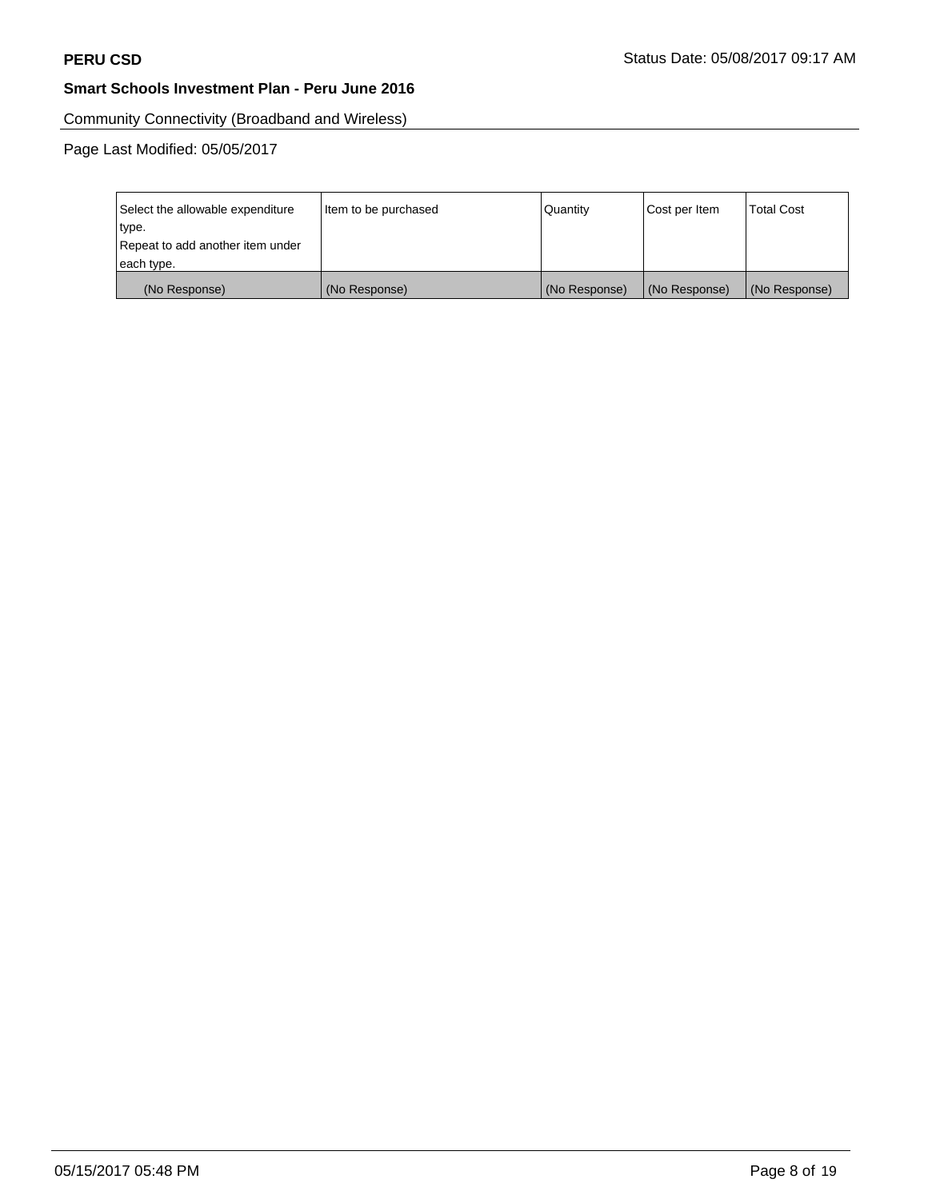Community Connectivity (Broadband and Wireless)

| Select the allowable expenditure<br>type.<br>Repeat to add another item under | Item to be purchased | Quantity      | Cost per Item | <b>Total Cost</b> |
|-------------------------------------------------------------------------------|----------------------|---------------|---------------|-------------------|
| each type.                                                                    |                      |               |               |                   |
| (No Response)                                                                 | (No Response)        | (No Response) | (No Response) | (No Response)     |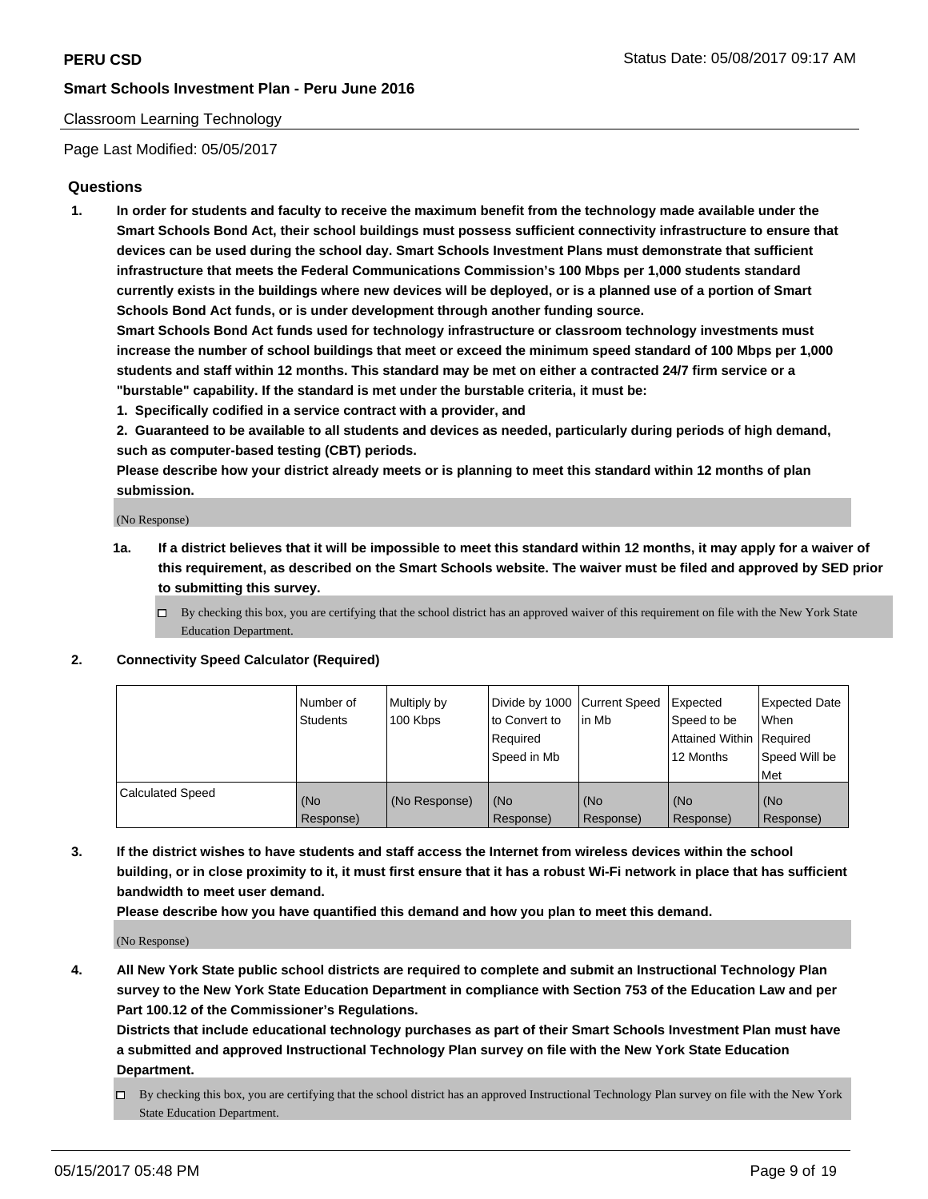## Classroom Learning Technology

Page Last Modified: 05/05/2017

## **Questions**

**1. In order for students and faculty to receive the maximum benefit from the technology made available under the Smart Schools Bond Act, their school buildings must possess sufficient connectivity infrastructure to ensure that devices can be used during the school day. Smart Schools Investment Plans must demonstrate that sufficient infrastructure that meets the Federal Communications Commission's 100 Mbps per 1,000 students standard currently exists in the buildings where new devices will be deployed, or is a planned use of a portion of Smart Schools Bond Act funds, or is under development through another funding source.**

**Smart Schools Bond Act funds used for technology infrastructure or classroom technology investments must increase the number of school buildings that meet or exceed the minimum speed standard of 100 Mbps per 1,000 students and staff within 12 months. This standard may be met on either a contracted 24/7 firm service or a "burstable" capability. If the standard is met under the burstable criteria, it must be:**

- **1. Specifically codified in a service contract with a provider, and**
- **2. Guaranteed to be available to all students and devices as needed, particularly during periods of high demand, such as computer-based testing (CBT) periods.**

**Please describe how your district already meets or is planning to meet this standard within 12 months of plan submission.**

(No Response)

- **1a. If a district believes that it will be impossible to meet this standard within 12 months, it may apply for a waiver of this requirement, as described on the Smart Schools website. The waiver must be filed and approved by SED prior to submitting this survey.**
	- $\Box$  By checking this box, you are certifying that the school district has an approved waiver of this requirement on file with the New York State Education Department.

#### **2. Connectivity Speed Calculator (Required)**

|                         | l Number of<br>Students | Multiply by<br>100 Kbps | Divide by 1000   Current Speed<br>to Convert to<br>Required<br>Speed in Mb | lin Mb           | Expected<br>Speed to be<br>Attained Within Required<br>12 Months | <b>Expected Date</b><br>When<br>Speed Will be<br>Met |
|-------------------------|-------------------------|-------------------------|----------------------------------------------------------------------------|------------------|------------------------------------------------------------------|------------------------------------------------------|
| <b>Calculated Speed</b> | (No<br>Response)        | (No Response)           | (No<br>Response)                                                           | (No<br>Response) | (No<br>Response)                                                 | (No<br>Response)                                     |

**3. If the district wishes to have students and staff access the Internet from wireless devices within the school building, or in close proximity to it, it must first ensure that it has a robust Wi-Fi network in place that has sufficient bandwidth to meet user demand.**

**Please describe how you have quantified this demand and how you plan to meet this demand.**

(No Response)

**4. All New York State public school districts are required to complete and submit an Instructional Technology Plan survey to the New York State Education Department in compliance with Section 753 of the Education Law and per Part 100.12 of the Commissioner's Regulations.**

**Districts that include educational technology purchases as part of their Smart Schools Investment Plan must have a submitted and approved Instructional Technology Plan survey on file with the New York State Education Department.**

 $\Box$  By checking this box, you are certifying that the school district has an approved Instructional Technology Plan survey on file with the New York State Education Department.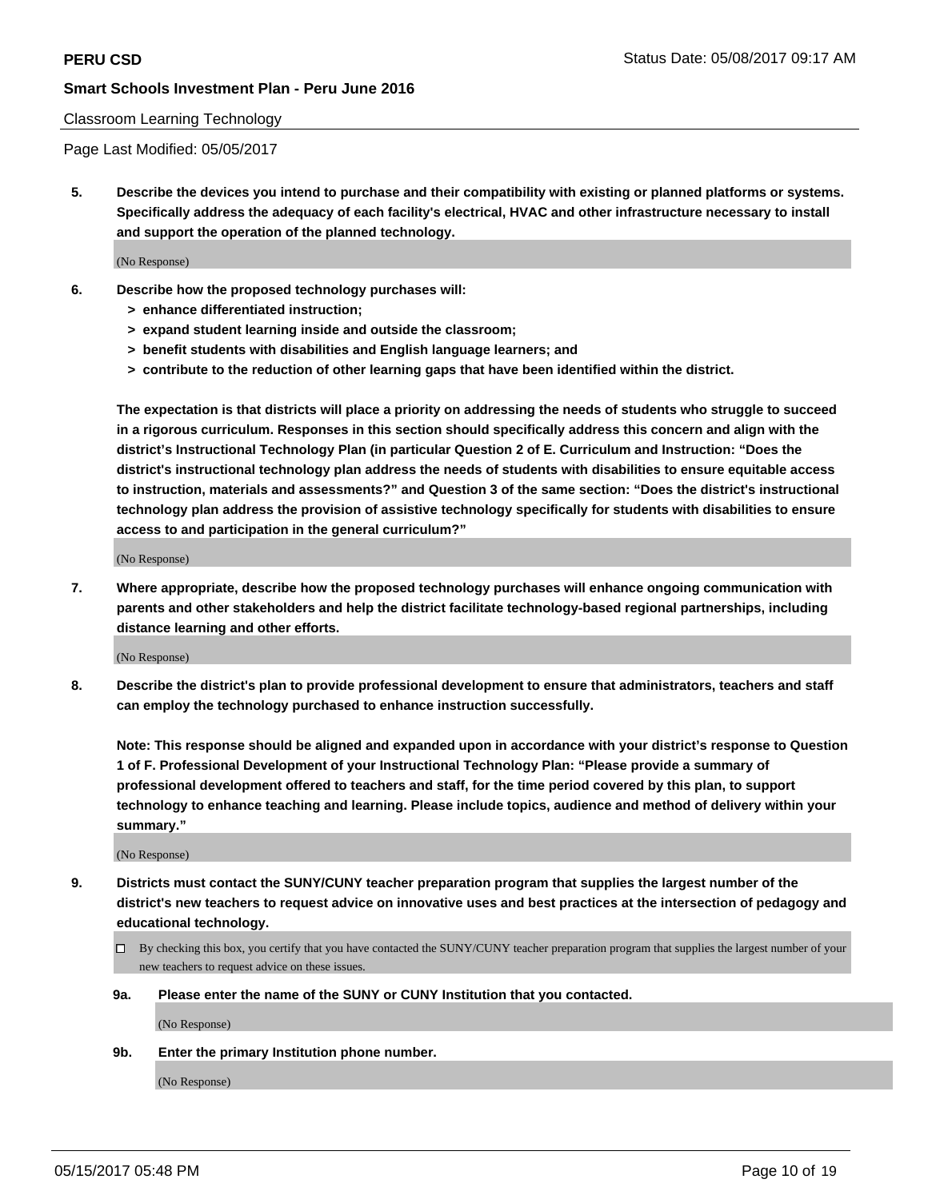#### Classroom Learning Technology

Page Last Modified: 05/05/2017

**5. Describe the devices you intend to purchase and their compatibility with existing or planned platforms or systems. Specifically address the adequacy of each facility's electrical, HVAC and other infrastructure necessary to install and support the operation of the planned technology.**

(No Response)

- **6. Describe how the proposed technology purchases will:**
	- **> enhance differentiated instruction;**
	- **> expand student learning inside and outside the classroom;**
	- **> benefit students with disabilities and English language learners; and**
	- **> contribute to the reduction of other learning gaps that have been identified within the district.**

**The expectation is that districts will place a priority on addressing the needs of students who struggle to succeed in a rigorous curriculum. Responses in this section should specifically address this concern and align with the district's Instructional Technology Plan (in particular Question 2 of E. Curriculum and Instruction: "Does the district's instructional technology plan address the needs of students with disabilities to ensure equitable access to instruction, materials and assessments?" and Question 3 of the same section: "Does the district's instructional technology plan address the provision of assistive technology specifically for students with disabilities to ensure access to and participation in the general curriculum?"**

(No Response)

**7. Where appropriate, describe how the proposed technology purchases will enhance ongoing communication with parents and other stakeholders and help the district facilitate technology-based regional partnerships, including distance learning and other efforts.**

(No Response)

**8. Describe the district's plan to provide professional development to ensure that administrators, teachers and staff can employ the technology purchased to enhance instruction successfully.**

**Note: This response should be aligned and expanded upon in accordance with your district's response to Question 1 of F. Professional Development of your Instructional Technology Plan: "Please provide a summary of professional development offered to teachers and staff, for the time period covered by this plan, to support technology to enhance teaching and learning. Please include topics, audience and method of delivery within your summary."**

(No Response)

- **9. Districts must contact the SUNY/CUNY teacher preparation program that supplies the largest number of the district's new teachers to request advice on innovative uses and best practices at the intersection of pedagogy and educational technology.**
	- By checking this box, you certify that you have contacted the SUNY/CUNY teacher preparation program that supplies the largest number of your new teachers to request advice on these issues.
	- **9a. Please enter the name of the SUNY or CUNY Institution that you contacted.**

(No Response)

**9b. Enter the primary Institution phone number.**

(No Response)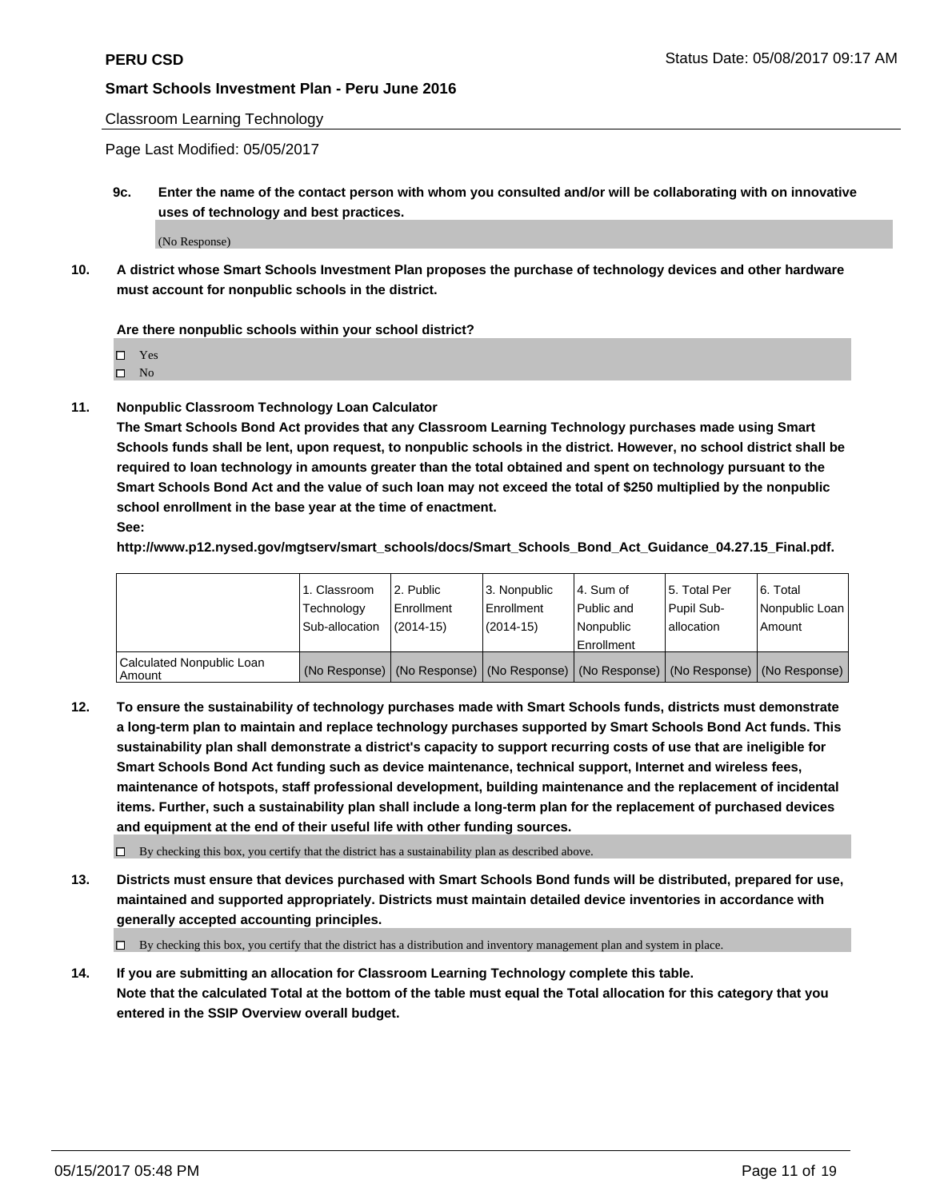Classroom Learning Technology

Page Last Modified: 05/05/2017

**9c. Enter the name of the contact person with whom you consulted and/or will be collaborating with on innovative uses of technology and best practices.**

(No Response)

**10. A district whose Smart Schools Investment Plan proposes the purchase of technology devices and other hardware must account for nonpublic schools in the district.**

**Are there nonpublic schools within your school district?**

Yes

 $\square$  No

**11. Nonpublic Classroom Technology Loan Calculator**

**The Smart Schools Bond Act provides that any Classroom Learning Technology purchases made using Smart Schools funds shall be lent, upon request, to nonpublic schools in the district. However, no school district shall be required to loan technology in amounts greater than the total obtained and spent on technology pursuant to the Smart Schools Bond Act and the value of such loan may not exceed the total of \$250 multiplied by the nonpublic school enrollment in the base year at the time of enactment.**

**See:**

**http://www.p12.nysed.gov/mgtserv/smart\_schools/docs/Smart\_Schools\_Bond\_Act\_Guidance\_04.27.15\_Final.pdf.**

|                                       | 1. Classroom   | l 2. Public   | 3. Nonpublic | l 4. Sum of | 15. Total Per                                                                                 | 6. Total       |
|---------------------------------------|----------------|---------------|--------------|-------------|-----------------------------------------------------------------------------------------------|----------------|
|                                       | Technology     | Enrollment    | Enrollment   | Public and  | Pupil Sub-                                                                                    | Nonpublic Loan |
|                                       | Sub-allocation | $(2014 - 15)$ | $(2014-15)$  | l Nonpublic | allocation                                                                                    | Amount         |
|                                       |                |               |              | Enrollment  |                                                                                               |                |
| Calculated Nonpublic Loan<br>  Amount |                |               |              |             | (No Response)   (No Response)   (No Response)   (No Response)   (No Response)   (No Response) |                |

**12. To ensure the sustainability of technology purchases made with Smart Schools funds, districts must demonstrate a long-term plan to maintain and replace technology purchases supported by Smart Schools Bond Act funds. This sustainability plan shall demonstrate a district's capacity to support recurring costs of use that are ineligible for Smart Schools Bond Act funding such as device maintenance, technical support, Internet and wireless fees, maintenance of hotspots, staff professional development, building maintenance and the replacement of incidental items. Further, such a sustainability plan shall include a long-term plan for the replacement of purchased devices and equipment at the end of their useful life with other funding sources.**

 $\Box$  By checking this box, you certify that the district has a sustainability plan as described above.

**13. Districts must ensure that devices purchased with Smart Schools Bond funds will be distributed, prepared for use, maintained and supported appropriately. Districts must maintain detailed device inventories in accordance with generally accepted accounting principles.**

By checking this box, you certify that the district has a distribution and inventory management plan and system in place.

**14. If you are submitting an allocation for Classroom Learning Technology complete this table. Note that the calculated Total at the bottom of the table must equal the Total allocation for this category that you entered in the SSIP Overview overall budget.**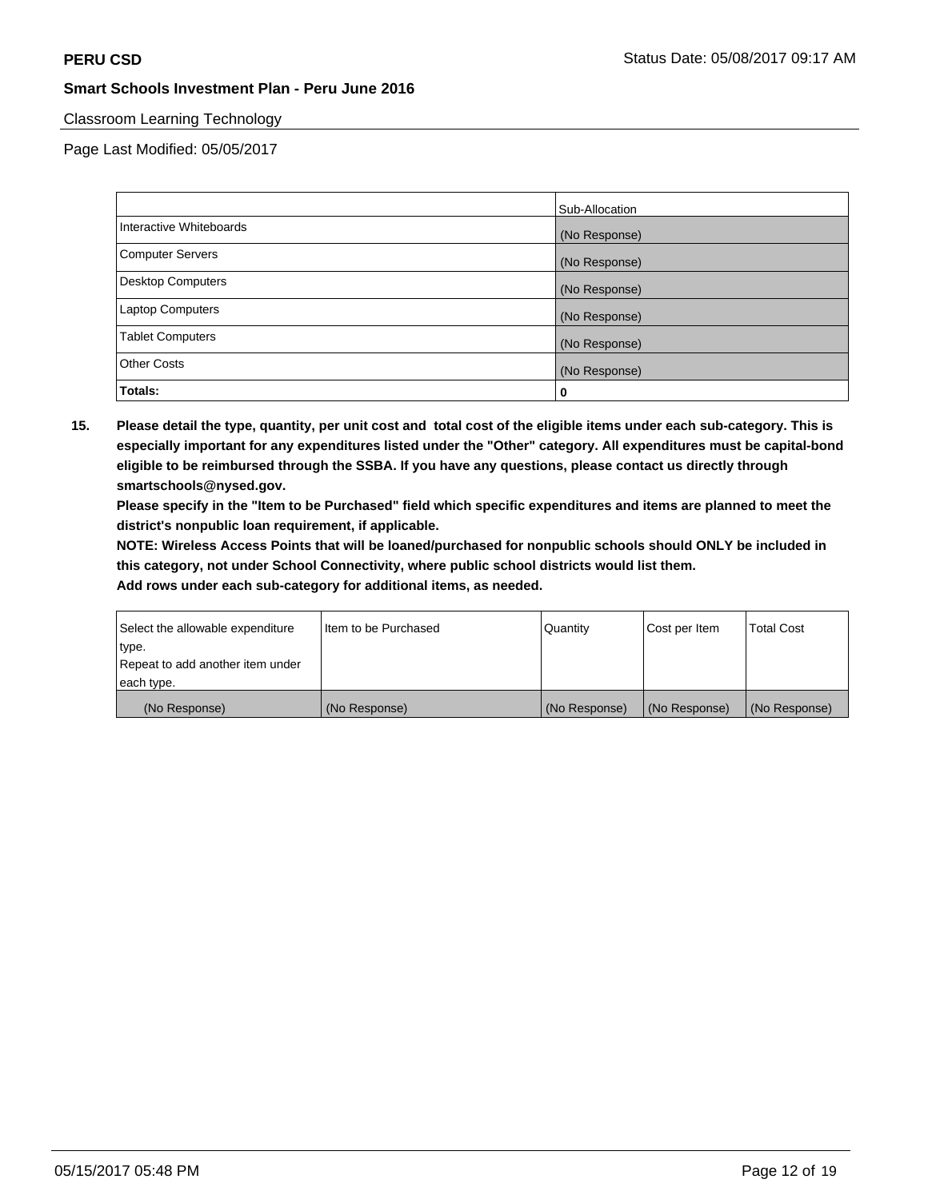## Classroom Learning Technology

Page Last Modified: 05/05/2017

|                          | Sub-Allocation |
|--------------------------|----------------|
| Interactive Whiteboards  | (No Response)  |
| Computer Servers         | (No Response)  |
| <b>Desktop Computers</b> | (No Response)  |
| <b>Laptop Computers</b>  | (No Response)  |
| <b>Tablet Computers</b>  | (No Response)  |
| <b>Other Costs</b>       | (No Response)  |
| Totals:                  | 0              |

**15. Please detail the type, quantity, per unit cost and total cost of the eligible items under each sub-category. This is especially important for any expenditures listed under the "Other" category. All expenditures must be capital-bond eligible to be reimbursed through the SSBA. If you have any questions, please contact us directly through smartschools@nysed.gov.**

**Please specify in the "Item to be Purchased" field which specific expenditures and items are planned to meet the district's nonpublic loan requirement, if applicable.**

**NOTE: Wireless Access Points that will be loaned/purchased for nonpublic schools should ONLY be included in this category, not under School Connectivity, where public school districts would list them.**

| Select the allowable expenditure | Iltem to be Purchased | Quantity      | Cost per Item | <b>Total Cost</b> |
|----------------------------------|-----------------------|---------------|---------------|-------------------|
| type.                            |                       |               |               |                   |
| Repeat to add another item under |                       |               |               |                   |
| each type.                       |                       |               |               |                   |
| (No Response)                    | (No Response)         | (No Response) | (No Response) | (No Response)     |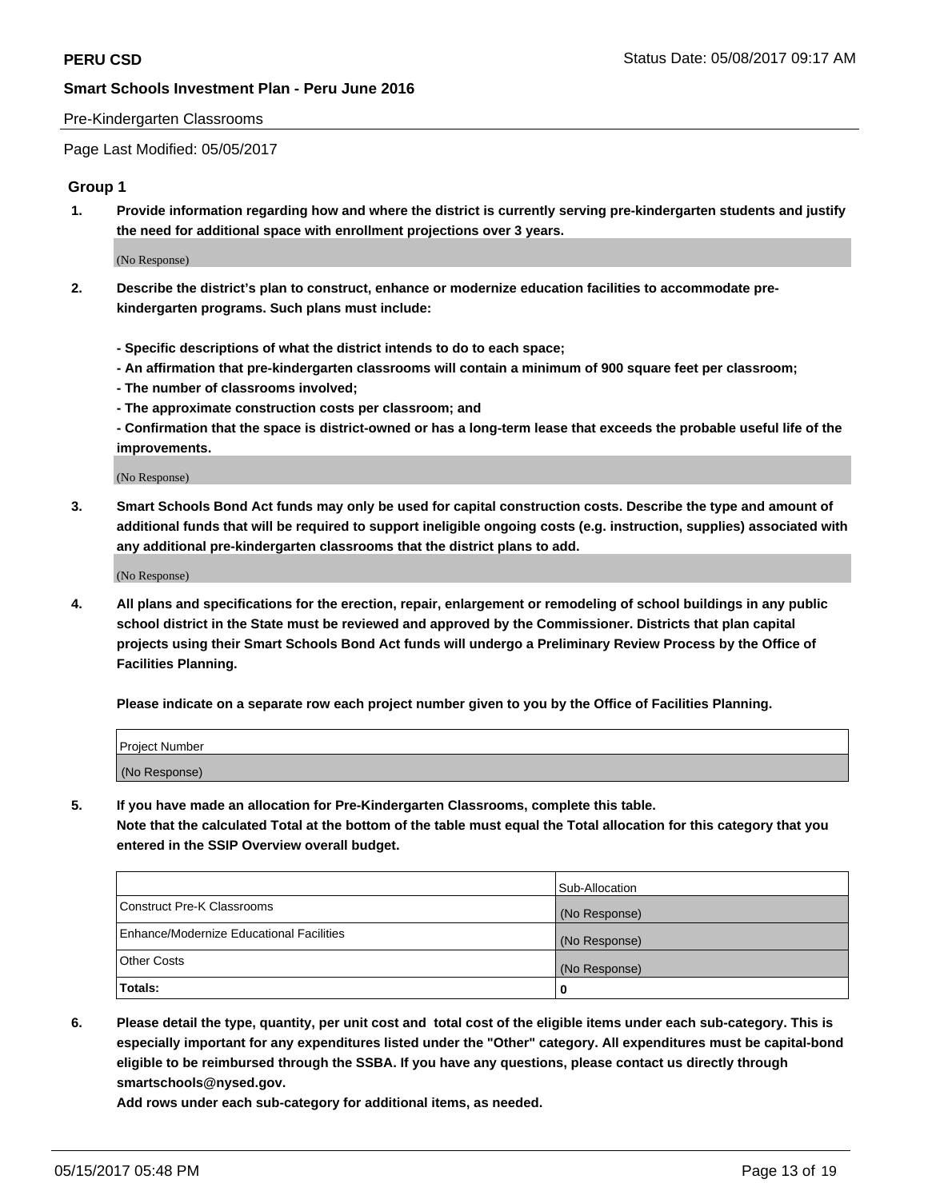### Pre-Kindergarten Classrooms

Page Last Modified: 05/05/2017

## **Group 1**

**1. Provide information regarding how and where the district is currently serving pre-kindergarten students and justify the need for additional space with enrollment projections over 3 years.**

(No Response)

- **2. Describe the district's plan to construct, enhance or modernize education facilities to accommodate prekindergarten programs. Such plans must include:**
	- **Specific descriptions of what the district intends to do to each space;**
	- **An affirmation that pre-kindergarten classrooms will contain a minimum of 900 square feet per classroom;**
	- **The number of classrooms involved;**
	- **The approximate construction costs per classroom; and**
	- **Confirmation that the space is district-owned or has a long-term lease that exceeds the probable useful life of the improvements.**

(No Response)

**3. Smart Schools Bond Act funds may only be used for capital construction costs. Describe the type and amount of additional funds that will be required to support ineligible ongoing costs (e.g. instruction, supplies) associated with any additional pre-kindergarten classrooms that the district plans to add.**

(No Response)

**4. All plans and specifications for the erection, repair, enlargement or remodeling of school buildings in any public school district in the State must be reviewed and approved by the Commissioner. Districts that plan capital projects using their Smart Schools Bond Act funds will undergo a Preliminary Review Process by the Office of Facilities Planning.**

**Please indicate on a separate row each project number given to you by the Office of Facilities Planning.**

| Project Number |  |
|----------------|--|
| (No Response)  |  |

**5. If you have made an allocation for Pre-Kindergarten Classrooms, complete this table. Note that the calculated Total at the bottom of the table must equal the Total allocation for this category that you entered in the SSIP Overview overall budget.**

|                                                 | Sub-Allocation |
|-------------------------------------------------|----------------|
| Construct Pre-K Classrooms                      | (No Response)  |
| <b>Enhance/Modernize Educational Facilities</b> | (No Response)  |
| Other Costs                                     | (No Response)  |
| Totals:                                         | 0              |

**6. Please detail the type, quantity, per unit cost and total cost of the eligible items under each sub-category. This is especially important for any expenditures listed under the "Other" category. All expenditures must be capital-bond eligible to be reimbursed through the SSBA. If you have any questions, please contact us directly through smartschools@nysed.gov.**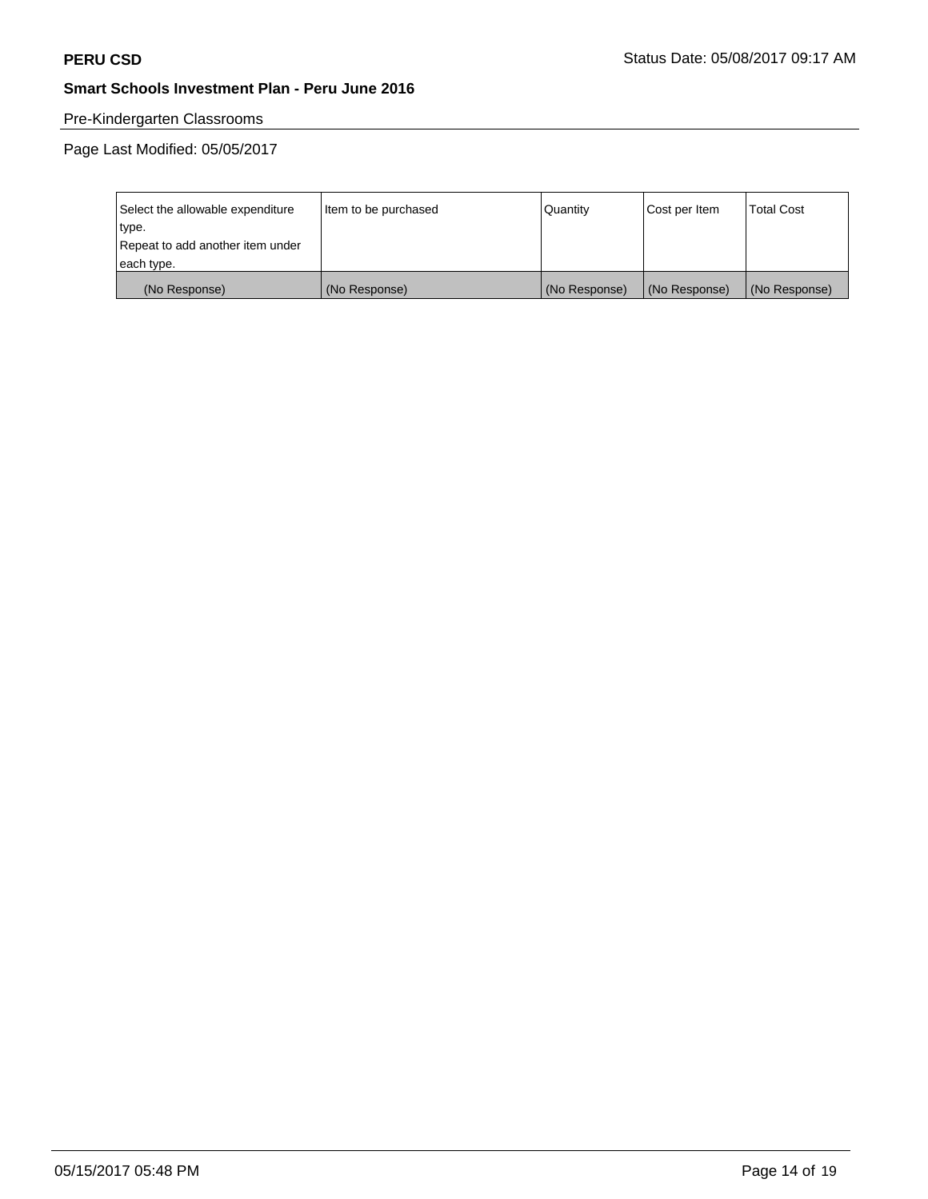# Pre-Kindergarten Classrooms

| Select the allowable expenditure | Item to be purchased | Quantity      | Cost per Item | <b>Total Cost</b> |
|----------------------------------|----------------------|---------------|---------------|-------------------|
| type.                            |                      |               |               |                   |
| Repeat to add another item under |                      |               |               |                   |
| each type.                       |                      |               |               |                   |
| (No Response)                    | (No Response)        | (No Response) | (No Response) | (No Response)     |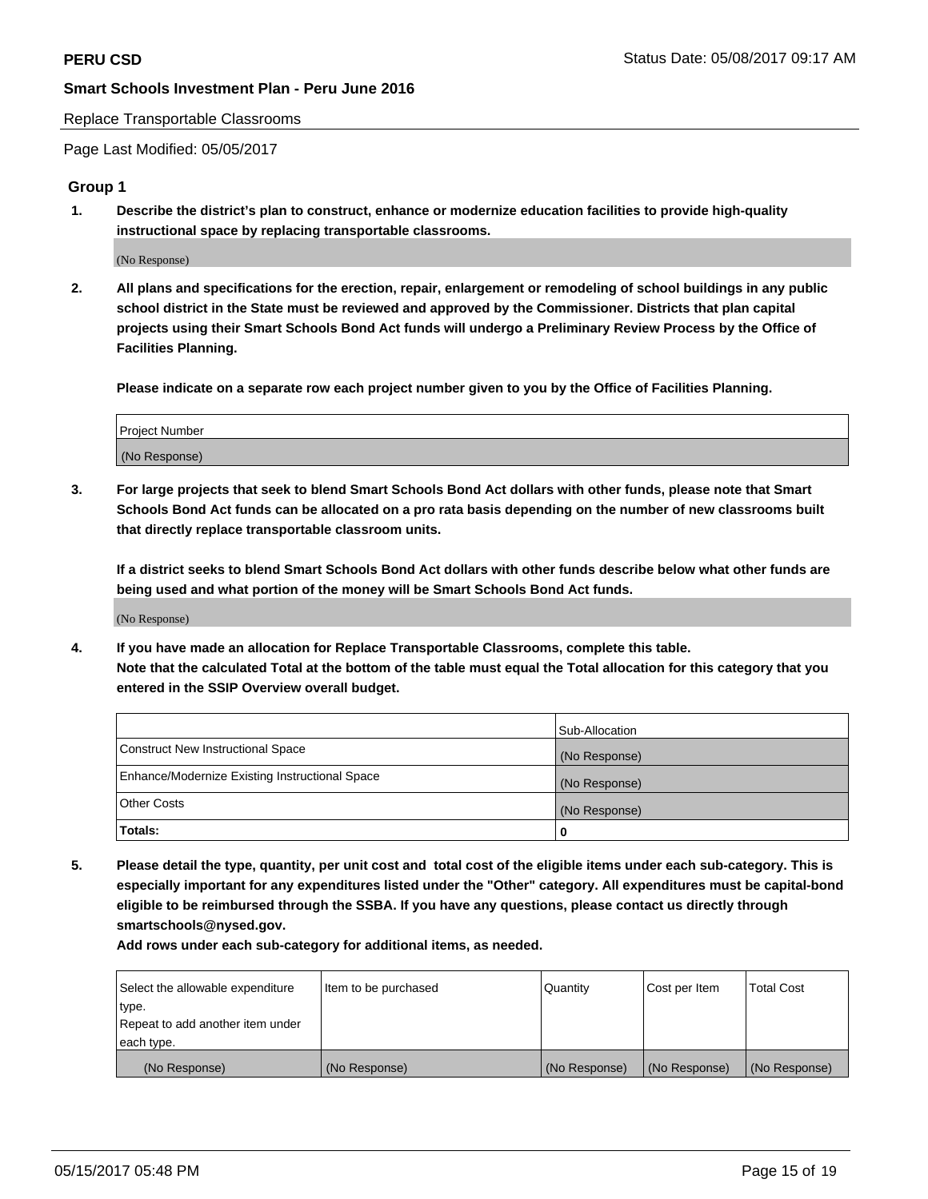#### Replace Transportable Classrooms

Page Last Modified: 05/05/2017

## **Group 1**

**1. Describe the district's plan to construct, enhance or modernize education facilities to provide high-quality instructional space by replacing transportable classrooms.**

(No Response)

**2. All plans and specifications for the erection, repair, enlargement or remodeling of school buildings in any public school district in the State must be reviewed and approved by the Commissioner. Districts that plan capital projects using their Smart Schools Bond Act funds will undergo a Preliminary Review Process by the Office of Facilities Planning.**

**Please indicate on a separate row each project number given to you by the Office of Facilities Planning.**

| Project Number |  |
|----------------|--|
| (No Response)  |  |

**3. For large projects that seek to blend Smart Schools Bond Act dollars with other funds, please note that Smart Schools Bond Act funds can be allocated on a pro rata basis depending on the number of new classrooms built that directly replace transportable classroom units.**

**If a district seeks to blend Smart Schools Bond Act dollars with other funds describe below what other funds are being used and what portion of the money will be Smart Schools Bond Act funds.**

(No Response)

**4. If you have made an allocation for Replace Transportable Classrooms, complete this table. Note that the calculated Total at the bottom of the table must equal the Total allocation for this category that you entered in the SSIP Overview overall budget.**

|                                                | Sub-Allocation |
|------------------------------------------------|----------------|
| Construct New Instructional Space              | (No Response)  |
| Enhance/Modernize Existing Instructional Space | (No Response)  |
| Other Costs                                    | (No Response)  |
| Totals:                                        | $\Omega$       |

**5. Please detail the type, quantity, per unit cost and total cost of the eligible items under each sub-category. This is especially important for any expenditures listed under the "Other" category. All expenditures must be capital-bond eligible to be reimbursed through the SSBA. If you have any questions, please contact us directly through smartschools@nysed.gov.**

| Select the allowable expenditure | Item to be purchased | Quantity      | Cost per Item | <b>Total Cost</b> |
|----------------------------------|----------------------|---------------|---------------|-------------------|
| type.                            |                      |               |               |                   |
| Repeat to add another item under |                      |               |               |                   |
| each type.                       |                      |               |               |                   |
| (No Response)                    | (No Response)        | (No Response) | (No Response) | (No Response)     |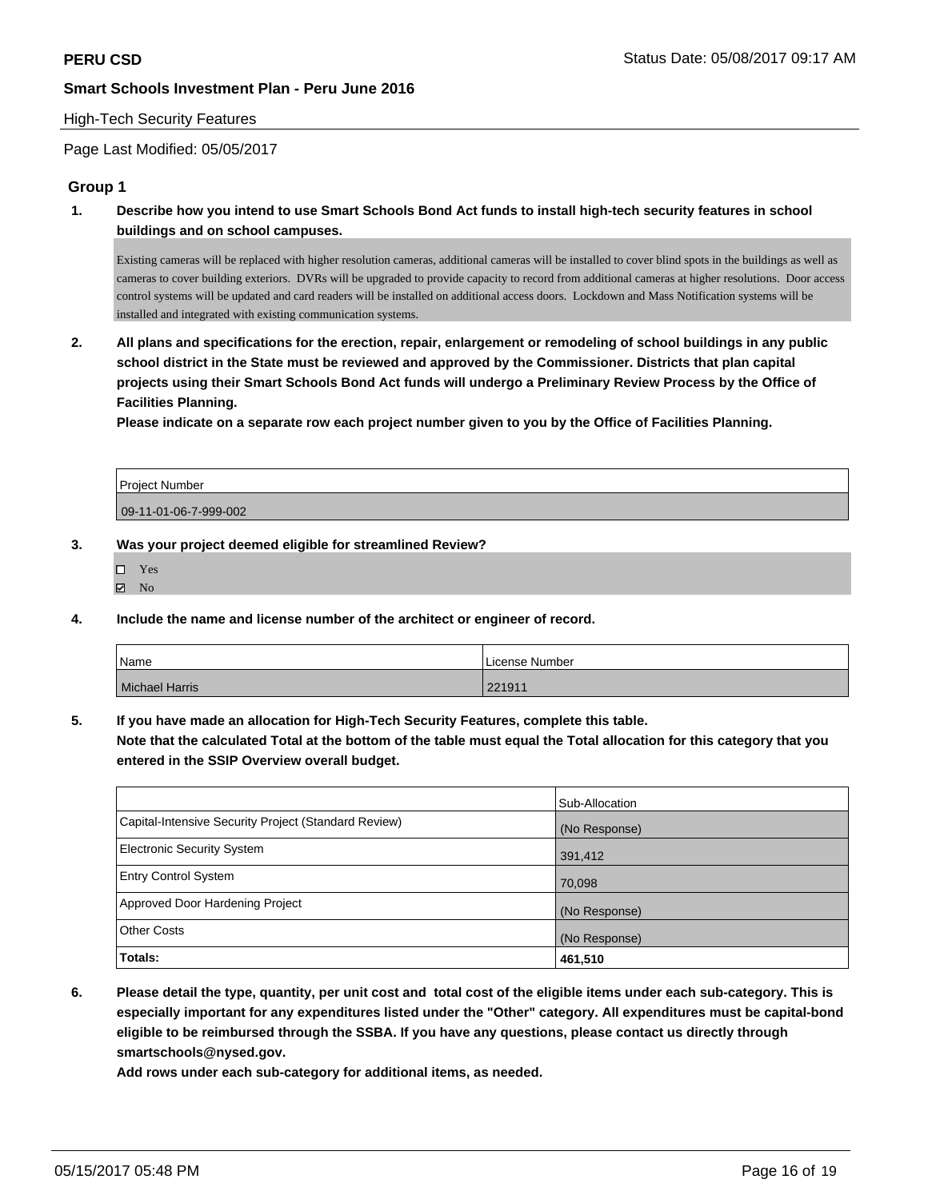## High-Tech Security Features

Page Last Modified: 05/05/2017

## **Group 1**

**1. Describe how you intend to use Smart Schools Bond Act funds to install high-tech security features in school buildings and on school campuses.**

Existing cameras will be replaced with higher resolution cameras, additional cameras will be installed to cover blind spots in the buildings as well as cameras to cover building exteriors. DVRs will be upgraded to provide capacity to record from additional cameras at higher resolutions. Door access control systems will be updated and card readers will be installed on additional access doors. Lockdown and Mass Notification systems will be installed and integrated with existing communication systems.

**2. All plans and specifications for the erection, repair, enlargement or remodeling of school buildings in any public school district in the State must be reviewed and approved by the Commissioner. Districts that plan capital projects using their Smart Schools Bond Act funds will undergo a Preliminary Review Process by the Office of Facilities Planning.** 

**Please indicate on a separate row each project number given to you by the Office of Facilities Planning.**

| Project Number        |  |
|-----------------------|--|
| 09-11-01-06-7-999-002 |  |

#### **3. Was your project deemed eligible for streamlined Review?**

| ш | <b>Yes</b> |
|---|------------|
| ☑ | Nο         |

**4. Include the name and license number of the architect or engineer of record.**

| Name                  | License Number |
|-----------------------|----------------|
| <b>Michael Harris</b> | 221911         |

**5. If you have made an allocation for High-Tech Security Features, complete this table.**

**Note that the calculated Total at the bottom of the table must equal the Total allocation for this category that you entered in the SSIP Overview overall budget.**

|                                                      | Sub-Allocation |
|------------------------------------------------------|----------------|
| Capital-Intensive Security Project (Standard Review) | (No Response)  |
| <b>Electronic Security System</b>                    | 391,412        |
| <b>Entry Control System</b>                          | 70,098         |
| Approved Door Hardening Project                      | (No Response)  |
| <b>Other Costs</b>                                   | (No Response)  |
| Totals:                                              | 461,510        |

**6. Please detail the type, quantity, per unit cost and total cost of the eligible items under each sub-category. This is especially important for any expenditures listed under the "Other" category. All expenditures must be capital-bond eligible to be reimbursed through the SSBA. If you have any questions, please contact us directly through smartschools@nysed.gov.**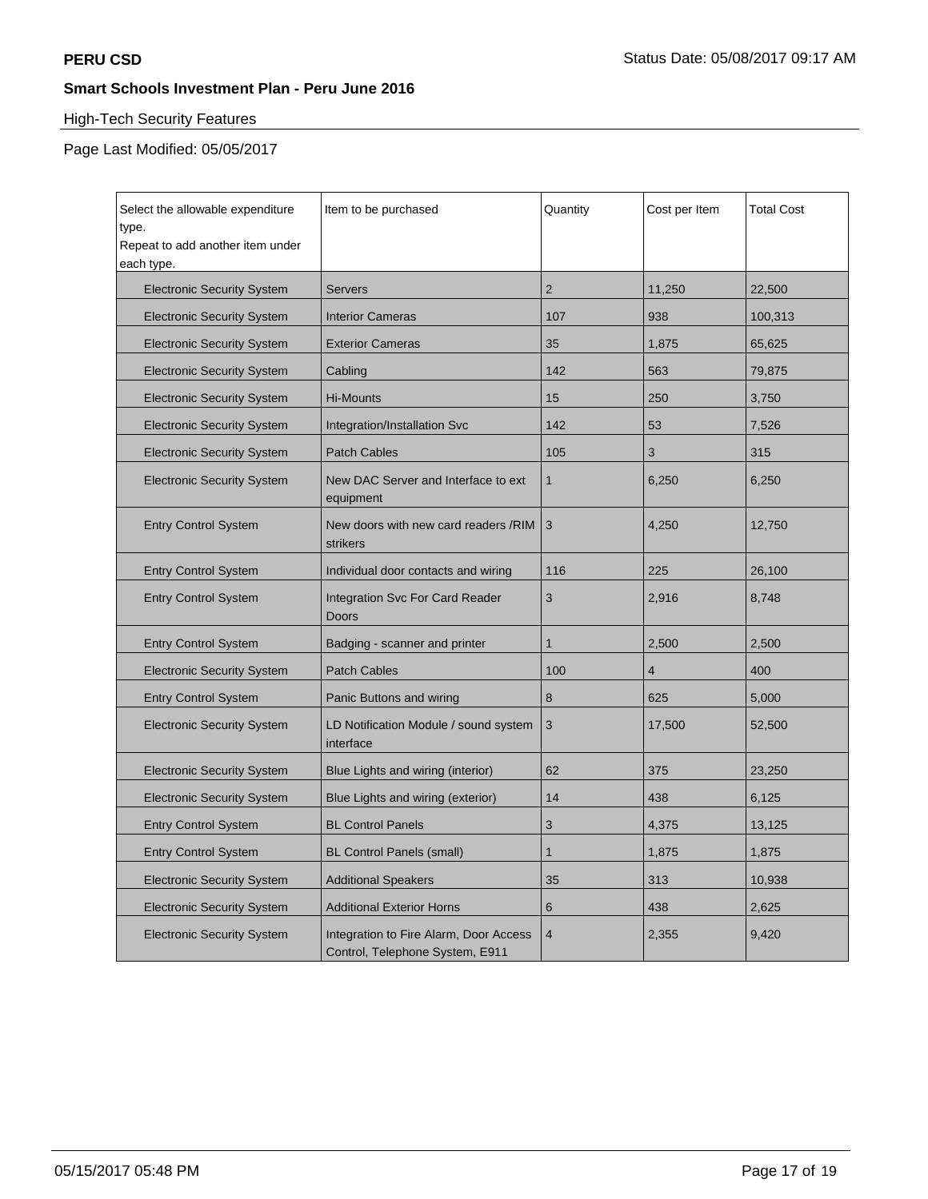## High-Tech Security Features

| Select the allowable expenditure<br>type.<br>Repeat to add another item under<br>each type. | Item to be purchased                                                      | Quantity       | Cost per Item | <b>Total Cost</b> |
|---------------------------------------------------------------------------------------------|---------------------------------------------------------------------------|----------------|---------------|-------------------|
| <b>Electronic Security System</b>                                                           | Servers                                                                   | $\overline{2}$ | 11,250        | 22,500            |
| <b>Electronic Security System</b>                                                           | <b>Interior Cameras</b>                                                   | 107            | 938           | 100,313           |
| <b>Electronic Security System</b>                                                           | <b>Exterior Cameras</b>                                                   | 35             | 1,875         | 65,625            |
| <b>Electronic Security System</b>                                                           | Cabling                                                                   | 142            | 563           | 79,875            |
| <b>Electronic Security System</b>                                                           | Hi-Mounts                                                                 | 15             | 250           | 3,750             |
| <b>Electronic Security System</b>                                                           | Integration/Installation Svc                                              | 142            | 53            | 7,526             |
| <b>Electronic Security System</b>                                                           | <b>Patch Cables</b>                                                       | 105            | 3             | 315               |
| <b>Electronic Security System</b>                                                           | New DAC Server and Interface to ext<br>equipment                          | $\mathbf{1}$   | 6,250         | 6,250             |
| <b>Entry Control System</b>                                                                 | New doors with new card readers /RIM<br>strikers                          | 3              | 4,250         | 12,750            |
| <b>Entry Control System</b>                                                                 | Individual door contacts and wiring                                       | 116            | 225           | 26,100            |
| <b>Entry Control System</b>                                                                 | <b>Integration Svc For Card Reader</b><br>Doors                           | 3              | 2,916         | 8,748             |
| <b>Entry Control System</b>                                                                 | Badging - scanner and printer                                             | 1              | 2,500         | 2,500             |
| <b>Electronic Security System</b>                                                           | <b>Patch Cables</b>                                                       | 100            | 4             | 400               |
| <b>Entry Control System</b>                                                                 | Panic Buttons and wiring                                                  | 8              | 625           | 5,000             |
| <b>Electronic Security System</b>                                                           | LD Notification Module / sound system<br>interface                        | 3              | 17,500        | 52,500            |
| <b>Electronic Security System</b>                                                           | Blue Lights and wiring (interior)                                         | 62             | 375           | 23,250            |
| <b>Electronic Security System</b>                                                           | Blue Lights and wiring (exterior)                                         | 14             | 438           | 6,125             |
| <b>Entry Control System</b>                                                                 | <b>BL Control Panels</b>                                                  | 3              | 4,375         | 13,125            |
| <b>Entry Control System</b>                                                                 | <b>BL Control Panels (small)</b>                                          | 1              | 1,875         | 1,875             |
| <b>Electronic Security System</b>                                                           | <b>Additional Speakers</b>                                                | 35             | 313           | 10,938            |
| <b>Electronic Security System</b>                                                           | <b>Additional Exterior Horns</b>                                          | 6              | 438           | 2,625             |
| <b>Electronic Security System</b>                                                           | Integration to Fire Alarm, Door Access<br>Control, Telephone System, E911 | $\overline{4}$ | 2,355         | 9,420             |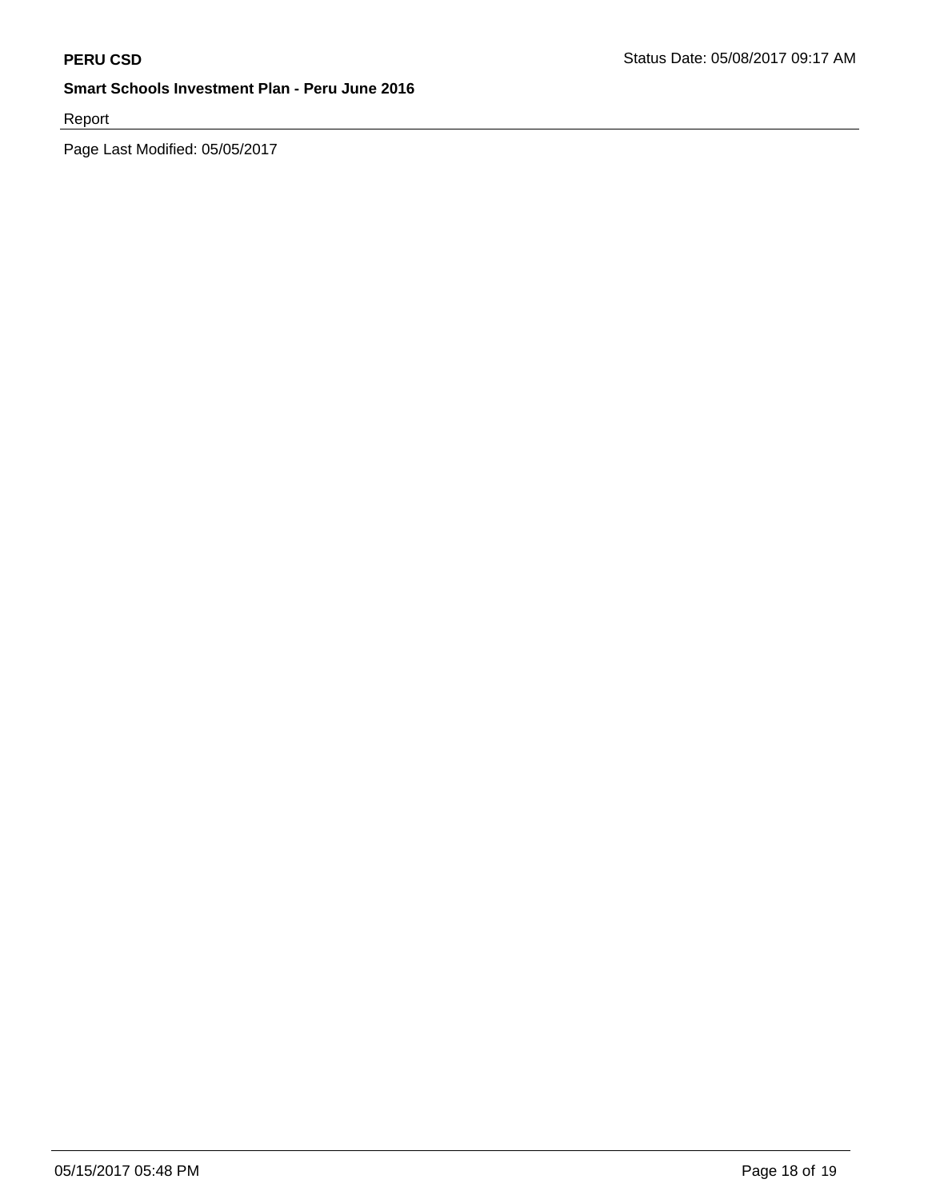Report